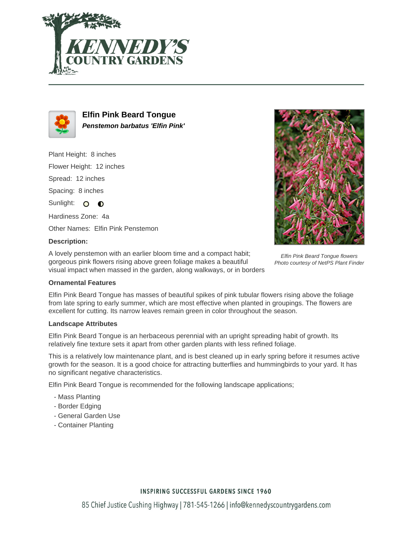



**Elfin Pink Beard Tongue Penstemon barbatus 'Elfin Pink'**

Plant Height: 8 inches Flower Height: 12 inches Spread: 12 inches Spacing: 8 inches Sunlight: O O Hardiness Zone: 4a

Other Names: Elfin Pink Penstemon

### **Description:**

A lovely penstemon with an earlier bloom time and a compact habit; gorgeous pink flowers rising above green foliage makes a beautiful visual impact when massed in the garden, along walkways, or in borders



Elfin Pink Beard Tongue flowers Photo courtesy of NetPS Plant Finder

#### **Ornamental Features**

Elfin Pink Beard Tongue has masses of beautiful spikes of pink tubular flowers rising above the foliage from late spring to early summer, which are most effective when planted in groupings. The flowers are excellent for cutting. Its narrow leaves remain green in color throughout the season.

#### **Landscape Attributes**

Elfin Pink Beard Tongue is an herbaceous perennial with an upright spreading habit of growth. Its relatively fine texture sets it apart from other garden plants with less refined foliage.

This is a relatively low maintenance plant, and is best cleaned up in early spring before it resumes active growth for the season. It is a good choice for attracting butterflies and hummingbirds to your yard. It has no significant negative characteristics.

Elfin Pink Beard Tongue is recommended for the following landscape applications;

- Mass Planting
- Border Edging
- General Garden Use
- Container Planting

# **INSPIRING SUCCESSFUL GARDENS SINCE 1960**